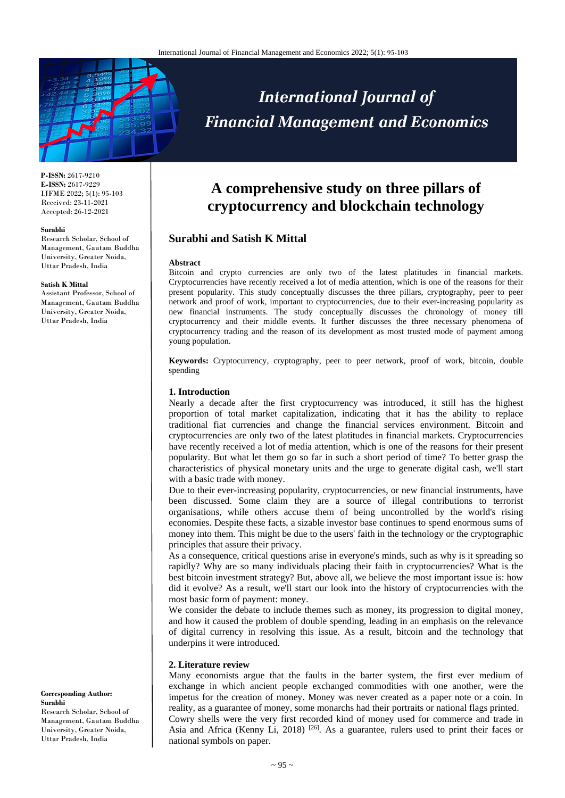

#### **P-ISSN:** 2617-9210 **E-ISSN:** 2617-9229 IJFME 2022; 5(1): 95-103 Received: 23-11-2021 Accepted: 26-12-2021

#### **Surabhi**

Research Scholar, School of Management, Gautam Buddha University, Greater Noida, Uttar Pradesh, India

#### **Satish K Mittal**

Assistant Professor, School of Management, Gautam Buddha University, Greater Noida, Uttar Pradesh, India

**Corresponding Author: Surabhi** 

Research Scholar, School of Management, Gautam Buddha University, Greater Noida, Uttar Pradesh, India

# **International Journal of Financial Management and Economics**

## **A comprehensive study on three pillars of cryptocurrency and blockchain technology**

#### **Surabhi and Satish K Mittal**

#### **Abstract**

Bitcoin and crypto currencies are only two of the latest platitudes in financial markets. Cryptocurrencies have recently received a lot of media attention, which is one of the reasons for their present popularity. This study conceptually discusses the three pillars, cryptography, peer to peer network and proof of work, important to cryptocurrencies, due to their ever-increasing popularity as new financial instruments. The study conceptually discusses the chronology of money till cryptocurrency and their middle events. It further discusses the three necessary phenomena of cryptocurrency trading and the reason of its development as most trusted mode of payment among young population.

**Keywords:** Cryptocurrency, cryptography, peer to peer network, proof of work, bitcoin, double spending

#### **1. Introduction**

Nearly a decade after the first cryptocurrency was introduced, it still has the highest proportion of total market capitalization, indicating that it has the ability to replace traditional fiat currencies and change the financial services environment. Bitcoin and cryptocurrencies are only two of the latest platitudes in financial markets. Cryptocurrencies have recently received a lot of media attention, which is one of the reasons for their present popularity. But what let them go so far in such a short period of time? To better grasp the characteristics of physical monetary units and the urge to generate digital cash, we'll start with a basic trade with money.

Due to their ever-increasing popularity, cryptocurrencies, or new financial instruments, have been discussed. Some claim they are a source of illegal contributions to terrorist organisations, while others accuse them of being uncontrolled by the world's rising economies. Despite these facts, a sizable investor base continues to spend enormous sums of money into them. This might be due to the users' faith in the technology or the cryptographic principles that assure their privacy.

As a consequence, critical questions arise in everyone's minds, such as why is it spreading so rapidly? Why are so many individuals placing their faith in cryptocurrencies? What is the best bitcoin investment strategy? But, above all, we believe the most important issue is: how did it evolve? As a result, we'll start our look into the history of cryptocurrencies with the most basic form of payment: money.

We consider the debate to include themes such as money, its progression to digital money, and how it caused the problem of double spending, leading in an emphasis on the relevance of digital currency in resolving this issue. As a result, bitcoin and the technology that underpins it were introduced.

#### **2. Literature review**

Many economists argue that the faults in the barter system, the first ever medium of exchange in which ancient people exchanged commodities with one another, were the impetus for the creation of money. Money was never created as a paper note or a coin. In reality, as a guarantee of money, some monarchs had their portraits or national flags printed. Cowry shells were the very first recorded kind of money used for commerce and trade in Asia and Africa (Kenny Li, 2018)<sup>[26]</sup>. As a guarantee, rulers used to print their faces or national symbols on paper.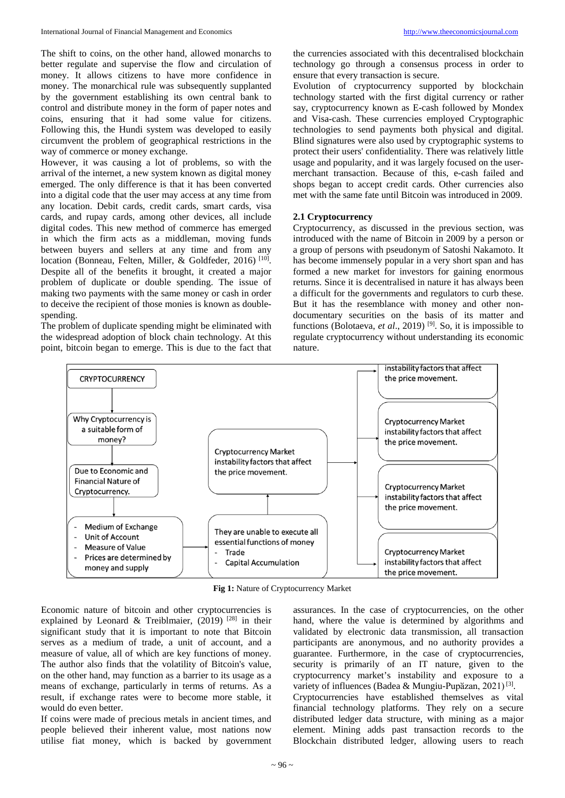The shift to coins, on the other hand, allowed monarchs to better regulate and supervise the flow and circulation of money. It allows citizens to have more confidence in money. The monarchical rule was subsequently supplanted by the government establishing its own central bank to control and distribute money in the form of paper notes and coins, ensuring that it had some value for citizens. Following this, the Hundi system was developed to easily circumvent the problem of geographical restrictions in the way of commerce or money exchange.

However, it was causing a lot of problems, so with the arrival of the internet, a new system known as digital money emerged. The only difference is that it has been converted into a digital code that the user may access at any time from any location. Debit cards, credit cards, smart cards, visa cards, and rupay cards, among other devices, all include digital codes. This new method of commerce has emerged in which the firm acts as a middleman, moving funds between buyers and sellers at any time and from any location (Bonneau, Felten, Miller, & Goldfeder, 2016)<sup>[10]</sup>. Despite all of the benefits it brought, it created a major problem of duplicate or double spending. The issue of making two payments with the same money or cash in order to deceive the recipient of those monies is known as doublespending.

The problem of duplicate spending might be eliminated with the widespread adoption of block chain technology. At this point, bitcoin began to emerge. This is due to the fact that

the currencies associated with this decentralised blockchain technology go through a consensus process in order to ensure that every transaction is secure.

Evolution of cryptocurrency supported by blockchain technology started with the first digital currency or rather say, cryptocurrency known as E-cash followed by Mondex and Visa-cash. These currencies employed Cryptographic technologies to send payments both physical and digital. Blind signatures were also used by cryptographic systems to protect their users' confidentiality. There was relatively little usage and popularity, and it was largely focused on the usermerchant transaction. Because of this, e-cash failed and shops began to accept credit cards. Other currencies also met with the same fate until Bitcoin was introduced in 2009.

#### **2.1 Cryptocurrency**

Cryptocurrency, as discussed in the previous section, was introduced with the name of Bitcoin in 2009 by a person or a group of persons with pseudonym of Satoshi Nakamoto. It has become immensely popular in a very short span and has formed a new market for investors for gaining enormous returns. Since it is decentralised in nature it has always been a difficult for the governments and regulators to curb these. But it has the resemblance with money and other nondocumentary securities on the basis of its matter and functions (Bolotaeva, *et al.*, 2019)<sup>[9]</sup>. So, it is impossible to regulate cryptocurrency without understanding its economic nature.



**Fig 1:** Nature of Cryptocurrency Market

Economic nature of bitcoin and other cryptocurrencies is explained by Leonard & Treiblmaier, (2019)<sup>[28]</sup> in their significant study that it is important to note that Bitcoin serves as a medium of trade, a unit of account, and a measure of value, all of which are key functions of money. The author also finds that the volatility of Bitcoin's value, on the other hand, may function as a barrier to its usage as a means of exchange, particularly in terms of returns. As a result, if exchange rates were to become more stable, it would do even better.

If coins were made of precious metals in ancient times, and people believed their inherent value, most nations now utilise fiat money, which is backed by government

assurances. In the case of cryptocurrencies, on the other hand, where the value is determined by algorithms and validated by electronic data transmission, all transaction participants are anonymous, and no authority provides a guarantee. Furthermore, in the case of cryptocurrencies, security is primarily of an IT nature, given to the cryptocurrency market's instability and exposure to a variety of influences (Badea & Mungiu-Pupăzan, 2021)<sup>[3]</sup>. Cryptocurrencies have established themselves as vital financial technology platforms. They rely on a secure distributed ledger data structure, with mining as a major element. Mining adds past transaction records to the Blockchain distributed ledger, allowing users to reach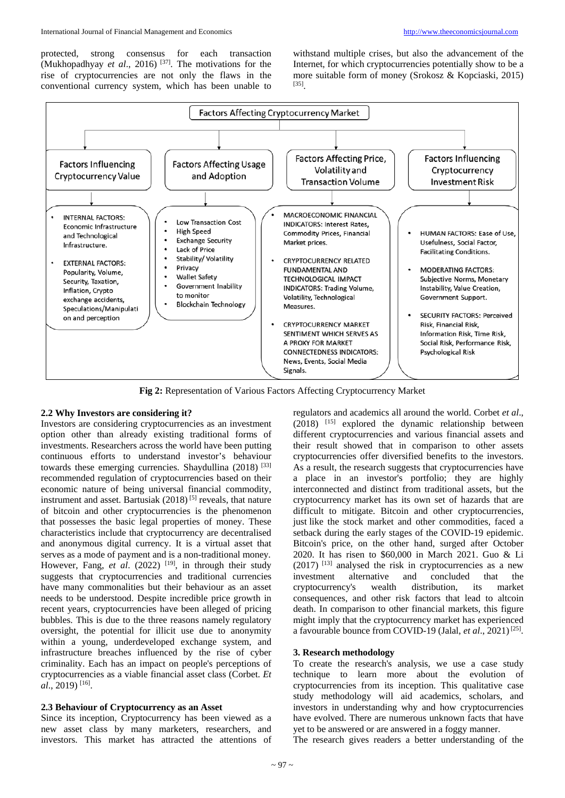protected, strong consensus for each transaction (Mukhopadhyay *et al*., 2016) [37]. The motivations for the rise of cryptocurrencies are not only the flaws in the conventional currency system, which has been unable to

withstand multiple crises, but also the advancement of the Internet, for which cryptocurrencies potentially show to be a more suitable form of money (Srokosz & Kopciaski, 2015) [35].



**Fig 2:** Representation of Various Factors Affecting Cryptocurrency Market

#### **2.2 Why Investors are considering it?**

Investors are considering cryptocurrencies as an investment option other than already existing traditional forms of investments. Researchers across the world have been putting continuous efforts to understand investor's behaviour towards these emerging currencies. Shaydullina (2018) [33] recommended regulation of cryptocurrencies based on their economic nature of being universal financial commodity, instrument and asset. Bartusiak  $(2018)^{5}$  reveals, that nature of bitcoin and other cryptocurrencies is the phenomenon that possesses the basic legal properties of money. These characteristics include that cryptocurrency are decentralised and anonymous digital currency. It is a virtual asset that serves as a mode of payment and is a non-traditional money. However, Fang, *et al.* (2022) <sup>[19]</sup>, in through their study suggests that cryptocurrencies and traditional currencies have many commonalities but their behaviour as an asset needs to be understood. Despite incredible price growth in recent years, cryptocurrencies have been alleged of pricing bubbles. This is due to the three reasons namely regulatory oversight, the potential for illicit use due to anonymity within a young, underdeveloped exchange system, and infrastructure breaches influenced by the rise of cyber criminality. Each has an impact on people's perceptions of cryptocurrencies as a viable financial asset class (Corbet. *Et al*., 2019) [16].

#### **2.3 Behaviour of Cryptocurrency as an Asset**

Since its inception, Cryptocurrency has been viewed as a new asset class by many marketers, researchers, and investors. This market has attracted the attentions of

regulators and academics all around the world. Corbet *et al*.,  $(2018)$  <sup>[15]</sup> explored the dynamic relationship between different cryptocurrencies and various financial assets and their result showed that in comparison to other assets cryptocurrencies offer diversified benefits to the investors. As a result, the research suggests that cryptocurrencies have a place in an investor's portfolio; they are highly interconnected and distinct from traditional assets, but the cryptocurrency market has its own set of hazards that are difficult to mitigate. Bitcoin and other cryptocurrencies, just like the stock market and other commodities, faced a setback during the early stages of the COVID-19 epidemic. Bitcoin's price, on the other hand, surged after October 2020. It has risen to \$60,000 in March 2021. Guo & Li  $(2017)$ <sup>[13]</sup> analysed the risk in cryptocurrencies as a new investment alternative and concluded that the cryptocurrency's wealth distribution, its market consequences, and other risk factors that lead to altcoin death. In comparison to other financial markets, this figure might imply that the cryptocurrency market has experienced a favourable bounce from COVID-19 (Jalal, *et al.*, 2021)<sup>[25]</sup>.

#### **3. Research methodology**

To create the research's analysis, we use a case study technique to learn more about the evolution of cryptocurrencies from its inception. This qualitative case study methodology will aid academics, scholars, and investors in understanding why and how cryptocurrencies have evolved. There are numerous unknown facts that have yet to be answered or are answered in a foggy manner.

The research gives readers a better understanding of the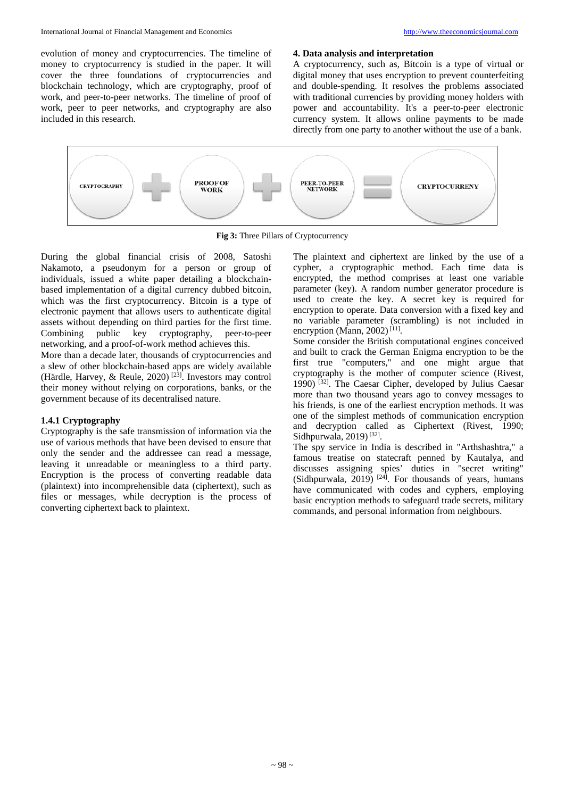evolution of money and cryptocurrencies. The timeline of money to cryptocurrency is studied in the paper. It will cover the three foundations of cryptocurrencies and blockchain technology, which are cryptography, proof of work, and peer-to-peer networks. The timeline of proof of work, peer to peer networks, and cryptography are also included in this research.

#### **4. Data analysis and interpretation**

A cryptocurrency, such as, Bitcoin is a type of virtual or digital money that uses encryption to prevent counterfeiting and double-spending. It resolves the problems associated with traditional currencies by providing money holders with power and accountability. It's a peer-to-peer electronic currency system. It allows online payments to be made directly from one party to another without the use of a bank.



**Fig 3:** Three Pillars of Cryptocurrency

During the global financial crisis of 2008, Satoshi Nakamoto, a pseudonym for a person or group of individuals, issued a white paper detailing a blockchainbased implementation of a digital currency dubbed bitcoin, which was the first cryptocurrency. Bitcoin is a type of electronic payment that allows users to authenticate digital assets without depending on third parties for the first time. Combining public key cryptography, peer-to-peer networking, and a proof-of-work method achieves this.

More than a decade later, thousands of cryptocurrencies and a slew of other blockchain-based apps are widely available (Härdle, Harvey, & Reule, 2020) [23] . Investors may control their money without relying on corporations, banks, or the government because of its decentralised nature.

#### **1.4.1 Cryptography**

Cryptography is the safe transmission of information via the use of various methods that have been devised to ensure that only the sender and the addressee can read a message, leaving it unreadable or meaningless to a third party. Encryption is the process of converting readable data (plaintext) into incomprehensible data (ciphertext), such as files or messages, while decryption is the process of converting ciphertext back to plaintext.

The plaintext and ciphertext are linked by the use of a cypher, a cryptographic method. Each time data is encrypted, the method comprises at least one variable parameter (key). A random number generator procedure is used to create the key. A secret key is required for encryption to operate. Data conversion with a fixed key and no variable parameter (scrambling) is not included in encryption (Mann, 2002)<sup>[11]</sup>.

Some consider the British computational engines conceived and built to crack the German Enigma encryption to be the first true "computers," and one might argue that cryptography is the mother of computer science (Rivest, 1990) [32]. The Caesar Cipher, developed by Julius Caesar more than two thousand years ago to convey messages to his friends, is one of the earliest encryption methods. It was one of the simplest methods of communication encryption and decryption called as Ciphertext (Rivest, 1990; Sidhpurwala,  $2019$ <sup>[32]</sup>.

The spy service in India is described in "Arthshashtra," a famous treatise on statecraft penned by Kautalya, and discusses assigning spies' duties in "secret writing" (Sidhpurwala, 2019)<sup>[24]</sup>. For thousands of years, humans have communicated with codes and cyphers, employing basic encryption methods to safeguard trade secrets, military commands, and personal information from neighbours.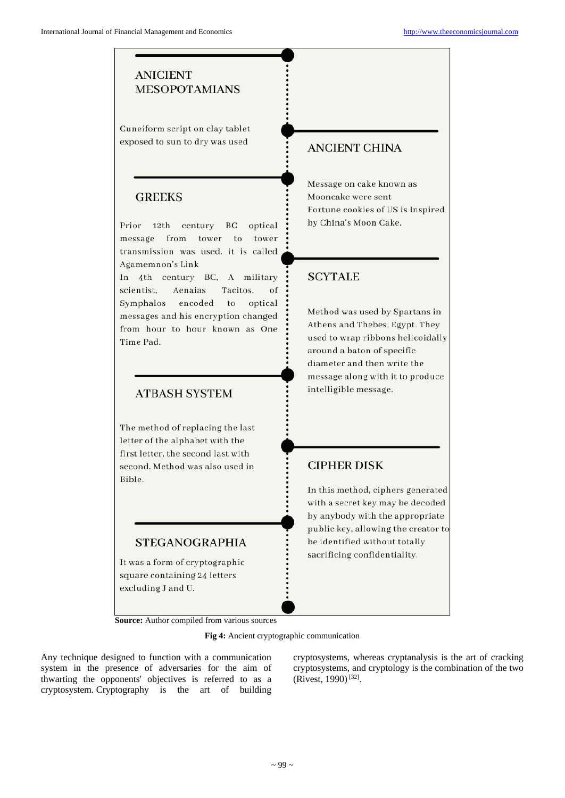## **ANICIENT MESOPOTAMIANS**

Cuneiform script on clay tablet exposed to sun to dry was used

### **GREEKS**

Prior 12th century optical BC message from tower to tower transmission was used, it is called Agamemnon's Link

In 4th century BC. A military scientist, Aenaias Tacitos, of Symphalos encoded to optical messages and his encryption changed from hour to hour known as One Time Pad.

## **ATBASH SYSTEM**

The method of replacing the last letter of the alphabet with the first letter, the second last with second. Method was also used in Bible.

## **STEGANOGRAPHIA**

It was a form of cryptographic square containing 24 letters excluding J and U.

**Source:** Author compiled from various sources

**Fig 4:** Ancient cryptographic communication

Any technique designed to function with a communication system in the presence of adversaries for the aim of thwarting the opponents' objectives is referred to as a cryptosystem. Cryptography is the art of building cryptosystems, whereas cryptanalysis is the art of cracking cryptosystems, and cryptology is the combination of the two  $(Rivest, 1990)^{[32]}$ .

## **ANCIENT CHINA**

Message on cake known as Mooncake were sent Fortune cookies of US is Inspired by China's Moon Cake.

## **SCYTALE**

Method was used by Spartans in Athens and Thebes, Egypt. They used to wrap ribbons helicoidally around a baton of specific diameter and then write the message along with it to produce intelligible message.

## **CIPHER DISK**

In this method, ciphers generated with a secret key may be decoded by anybody with the appropriate public key, allowing the creator to be identified without totally sacrificing confidentiality.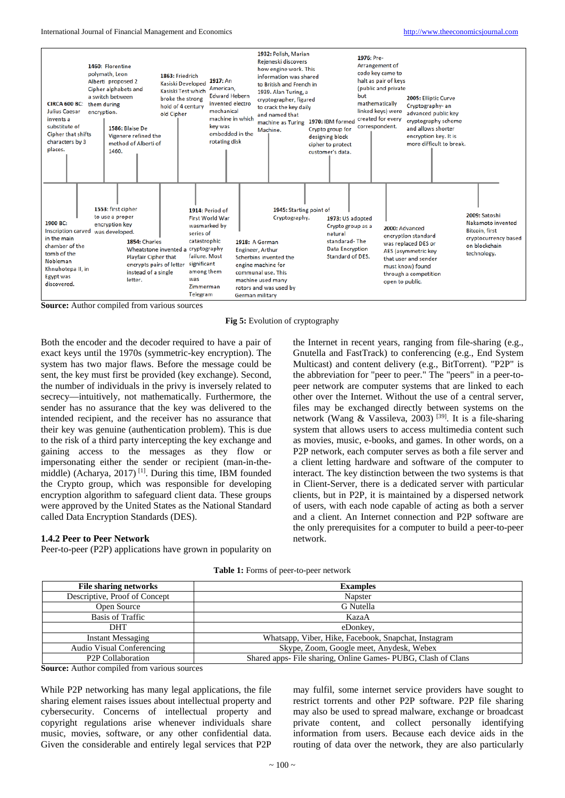

**Source:** Author compiled from various sources

**Fig 5:** Evolution of cryptography

Both the encoder and the decoder required to have a pair of exact keys until the 1970s (symmetric-key encryption). The system has two major flaws. Before the message could be sent, the key must first be provided (key exchange). Second, the number of individuals in the privy is inversely related to secrecy—intuitively, not mathematically. Furthermore, the sender has no assurance that the key was delivered to the intended recipient, and the receiver has no assurance that their key was genuine (authentication problem). This is due to the risk of a third party intercepting the key exchange and gaining access to the messages as they flow or impersonating either the sender or recipient (man-in-themiddle) (Acharya, 2017)<sup>[1]</sup>. During this time, IBM founded the Crypto group, which was responsible for developing encryption algorithm to safeguard client data. These groups were approved by the United States as the National Standard called Data Encryption Standards (DES).

#### **1.4.2 Peer to Peer Network**

Peer-to-peer (P2P) applications have grown in popularity on

the Internet in recent years, ranging from file-sharing (e.g., Gnutella and FastTrack) to conferencing (e.g., End System Multicast) and content delivery (e.g., BitTorrent). "P2P" is the abbreviation for "peer to peer." The "peers" in a peer-topeer network are computer systems that are linked to each other over the Internet. Without the use of a central server, files may be exchanged directly between systems on the network (Wang & Vassileva, 2003) [39]. It is a file-sharing system that allows users to access multimedia content such as movies, music, e-books, and games. In other words, on a P2P network, each computer serves as both a file server and a client letting hardware and software of the computer to interact. The key distinction between the two systems is that in Client-Server, there is a dedicated server with particular clients, but in P2P, it is maintained by a dispersed network of users, with each node capable of acting as both a server and a client. An Internet connection and P2P software are the only prerequisites for a computer to build a peer-to-peer network.

| <b>File sharing networks</b>   | <b>Examples</b>                                               |
|--------------------------------|---------------------------------------------------------------|
| Descriptive, Proof of Concept  | Napster                                                       |
| Open Source                    | G Nutella                                                     |
| Basis of Traffic               | KazaA                                                         |
| <b>DHT</b>                     | eDonkey,                                                      |
| <b>Instant Messaging</b>       | Whatsapp, Viber, Hike, Facebook, Snapchat, Instagram          |
| Audio Visual Conferencing      | Skype, Zoom, Google meet, Anydesk, Webex                      |
| P <sub>2</sub> P Collaboration | Shared apps- File sharing, Online Games- PUBG, Clash of Clans |

**Source:** Author compiled from various sources

While P2P networking has many legal applications, the file sharing element raises issues about intellectual property and cybersecurity. Concerns of intellectual property and copyright regulations arise whenever individuals share music, movies, software, or any other confidential data. Given the considerable and entirely legal services that P2P

may fulfil, some internet service providers have sought to restrict torrents and other P2P software. P2P file sharing may also be used to spread malware, exchange or broadcast private content, and collect personally identifying information from users. Because each device aids in the routing of data over the network, they are also particularly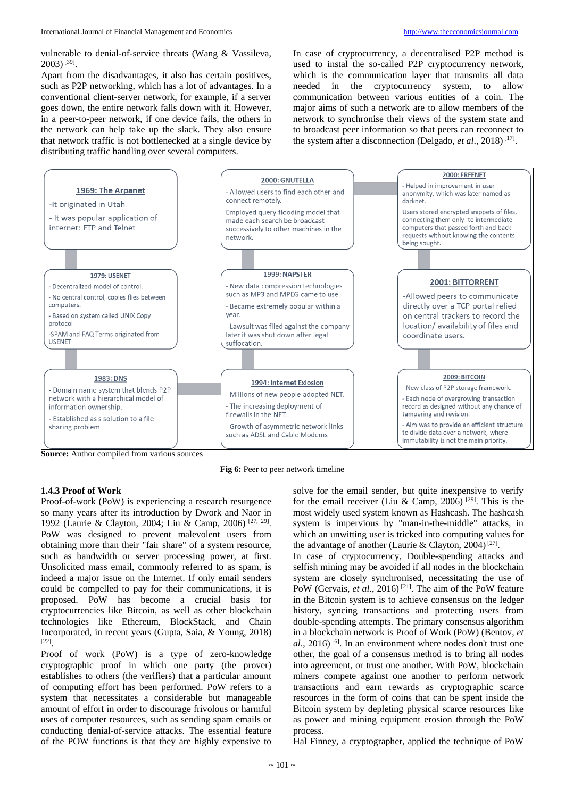vulnerable to denial-of-service threats (Wang & Vassileva,  $2003$ <sup>[39]</sup>.

Apart from the disadvantages, it also has certain positives, such as P2P networking, which has a lot of advantages. In a conventional client-server network, for example, if a server goes down, the entire network falls down with it. However, in a peer-to-peer network, if one device fails, the others in the network can help take up the slack. They also ensure that network traffic is not bottlenecked at a single device by distributing traffic handling over several computers.

In case of cryptocurrency, a decentralised P2P method is used to instal the so-called P2P cryptocurrency network, which is the communication layer that transmits all data needed in the cryptocurrency system, to allow communication between various entities of a coin. The major aims of such a network are to allow members of the network to synchronise their views of the system state and to broadcast peer information so that peers can reconnect to the system after a disconnection (Delgado, *et al*., 2018) [17].



**Source:** Author compiled from various sources



#### **1.4.3 Proof of Work**

Proof-of-work (PoW) is experiencing a research resurgence so many years after its introduction by Dwork and Naor in 1992 (Laurie & Clayton, 2004; Liu & Camp, 2006)<sup>[27, 29]</sup>. PoW was designed to prevent malevolent users from obtaining more than their "fair share" of a system resource, such as bandwidth or server processing power, at first. Unsolicited mass email, commonly referred to as spam, is indeed a major issue on the Internet. If only email senders could be compelled to pay for their communications, it is proposed. PoW has become a crucial basis for cryptocurrencies like Bitcoin, as well as other blockchain technologies like Ethereum, BlockStack, and Chain Incorporated, in recent years (Gupta, Saia, & Young, 2018) [22].

Proof of work (PoW) is a type of zero-knowledge cryptographic proof in which one party (the prover) establishes to others (the verifiers) that a particular amount of computing effort has been performed. PoW refers to a system that necessitates a considerable but manageable amount of effort in order to discourage frivolous or harmful uses of computer resources, such as sending spam emails or conducting denial-of-service attacks. The essential feature of the POW functions is that they are highly expensive to

solve for the email sender, but quite inexpensive to verify for the email receiver (Liu & Camp, 2006) <sup>[29]</sup>. This is the most widely used system known as Hashcash. The hashcash system is impervious by "man-in-the-middle" attacks, in which an unwitting user is tricked into computing values for the advantage of another (Laurie & Clayton, 2004)<sup>[27]</sup>.

In case of cryptocurrency, Double-spending attacks and selfish mining may be avoided if all nodes in the blockchain system are closely synchronised, necessitating the use of PoW (Gervais, *et al.*, 2016)<sup>[21]</sup>. The aim of the PoW feature in the Bitcoin system is to achieve consensus on the ledger history, syncing transactions and protecting users from double-spending attempts. The primary consensus algorithm in a blockchain network is Proof of Work (PoW) (Bentov, *et al*., 2016) [6]. In an environment where nodes don't trust one other, the goal of a consensus method is to bring all nodes into agreement, or trust one another. With PoW, blockchain miners compete against one another to perform network transactions and earn rewards as cryptographic scarce resources in the form of coins that can be spent inside the Bitcoin system by depleting physical scarce resources like as power and mining equipment erosion through the PoW process.

Hal Finney, a cryptographer, applied the technique of PoW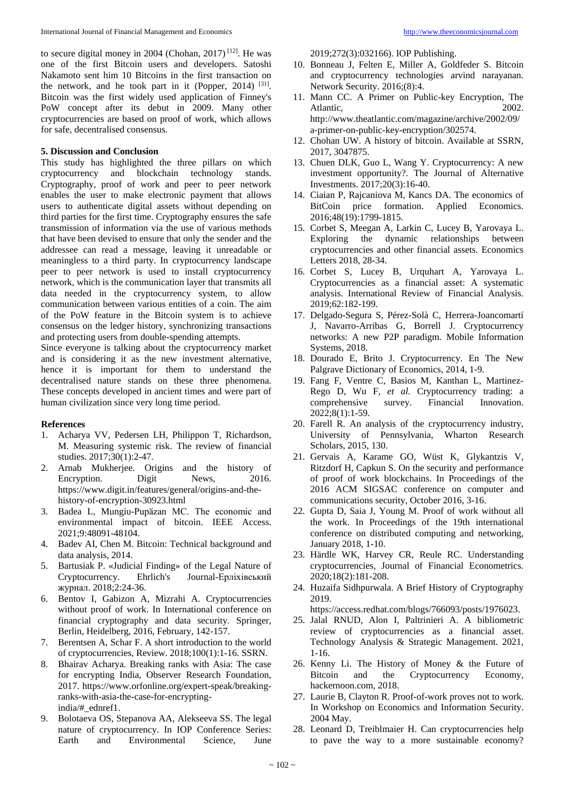to secure digital money in 2004 (Chohan, 2017)<sup>[12]</sup>. He was one of the first Bitcoin users and developers. Satoshi Nakamoto sent him 10 Bitcoins in the first transaction on the network, and he took part in it (Popper, 2014) [31]. Bitcoin was the first widely used application of Finney's PoW concept after its debut in 2009. Many other cryptocurrencies are based on proof of work, which allows for safe, decentralised consensus.

#### **5. Discussion and Conclusion**

This study has highlighted the three pillars on which cryptocurrency and blockchain technology stands. Cryptography, proof of work and peer to peer network enables the user to make electronic payment that allows users to authenticate digital assets without depending on third parties for the first time. Cryptography ensures the safe transmission of information via the use of various methods that have been devised to ensure that only the sender and the addressee can read a message, leaving it unreadable or meaningless to a third party. In cryptocurrency landscape peer to peer network is used to install cryptocurrency network, which is the communication layer that transmits all data needed in the cryptocurrency system, to allow communication between various entities of a coin. The aim of the PoW feature in the Bitcoin system is to achieve consensus on the ledger history, synchronizing transactions and protecting users from double-spending attempts.

Since everyone is talking about the cryptocurrency market and is considering it as the new investment alternative, hence it is important for them to understand the decentralised nature stands on these three phenomena. These concepts developed in ancient times and were part of human civilization since very long time period.

#### **References**

- 1. Acharya VV, Pedersen LH, Philippon T, Richardson, M. Measuring systemic risk. The review of financial studies. 2017;30(1):2-47.
- 2. Arnab Mukherjee. Origins and the history of Encryption. Digit News, 2016. https://www.digit.in/features/general/origins-and-thehistory-of-encryption-30923.html
- 3. Badea L, Mungiu-Pupӑzan MC. The economic and environmental impact of bitcoin. IEEE Access. 2021;9:48091-48104.
- 4. Badev AI, Chen M. Bitcoin: Technical background and data analysis, 2014.
- 5. Bartusiak P. «Judicial Finding» of the Legal Nature of Cryptocurrency. Ehrlich's Journal-Ерліхівський журнал. 2018;2:24-36.
- 6. Bentov I, Gabizon A, Mizrahi A. Cryptocurrencies without proof of work. In International conference on financial cryptography and data security. Springer, Berlin, Heidelberg, 2016, February, 142-157.
- 7. Berentsen A, Schar F. A short introduction to the world of cryptocurrencies, Review. 2018;100(1):1-16. SSRN.
- 8. Bhairav Acharya. Breaking ranks with Asia: The case for encrypting India, Observer Research Foundation, 2017. https://www.orfonline.org/expert-speak/breakingranks-with-asia-the-case-for-encryptingindia/#\_ednref1.
- 9. Bolotaeva OS, Stepanova AA, Alekseeva SS. The legal nature of cryptocurrency. In IOP Conference Series:<br>Earth and Environmental Science. June Environmental

2019;272(3):032166). IOP Publishing.

- 10. Bonneau J, Felten E, Miller A, Goldfeder S. Bitcoin and cryptocurrency technologies arvind narayanan. Network Security. 2016;(8):4.
- 11. Mann CC. A Primer on Public-key Encryption, The Atlantic. 2002. http://www.theatlantic.com/magazine/archive/2002/09/ a-primer-on-public-key-encryption/302574.
- 12. Chohan UW. A history of bitcoin. Available at SSRN, 2017, 3047875.
- 13. Chuen DLK, Guo L, Wang Y. Cryptocurrency: A new investment opportunity?. The Journal of Alternative Investments. 2017;20(3):16-40.
- 14. Ciaian P, Rajcaniova M, Kancs DA. The economics of BitCoin price formation. Applied Economics. 2016;48(19):1799-1815.
- 15. Corbet S, Meegan A, Larkin C, Lucey B, Yarovaya L. Exploring the dynamic relationships between cryptocurrencies and other financial assets. Economics Letters 2018, 28-34.
- 16. Corbet S, Lucey B, Urquhart A, Yarovaya L. Cryptocurrencies as a financial asset: A systematic analysis. International Review of Financial Analysis. 2019;62:182-199.
- 17. Delgado-Segura S, Pérez-Solà C, Herrera-Joancomartí J, Navarro-Arribas G, Borrell J. Cryptocurrency networks: A new P2P paradigm. Mobile Information Systems, 2018.
- 18. Dourado E, Brito J. Cryptocurrency. En The New Palgrave Dictionary of Economics, 2014, 1-9.
- 19. Fang F, Ventre C, Basios M, Kanthan L, Martinez-Rego D, Wu F, *et al.* Cryptocurrency trading: a comprehensive survey. Financial Innovation. comprehensive 2022;8(1):1-59.
- 20. Farell R. An analysis of the cryptocurrency industry, University of Pennsylvania, Wharton Research Scholars, 2015, 130.
- 21. Gervais A, Karame GO, Wüst K, Glykantzis V, Ritzdorf H, Capkun S. On the security and performance of proof of work blockchains. In Proceedings of the 2016 ACM SIGSAC conference on computer and communications security, October 2016, 3-16.
- 22. Gupta D, Saia J, Young M. Proof of work without all the work. In Proceedings of the 19th international conference on distributed computing and networking, January 2018, 1-10.
- 23. Härdle WK, Harvey CR, Reule RC. Understanding cryptocurrencies, Journal of Financial Econometrics. 2020;18(2):181-208.
- 24. Huzaifa Sidhpurwala. A Brief History of Cryptography 2019.

https://access.redhat.com/blogs/766093/posts/1976023.

- 25. Jalal RNUD, Alon I, Paltrinieri A. A bibliometric review of cryptocurrencies as a financial asset. Technology Analysis & Strategic Management. 2021, 1-16.
- 26. Kenny Li. The History of Money & the Future of Bitcoin and the Cryptocurrency Economy, hackernoon.com, 2018.
- 27. Laurie B, Clayton R. Proof-of-work proves not to work. In Workshop on Economics and Information Security. 2004 May.
- 28. Leonard D, Treiblmaier H. Can cryptocurrencies help to pave the way to a more sustainable economy?